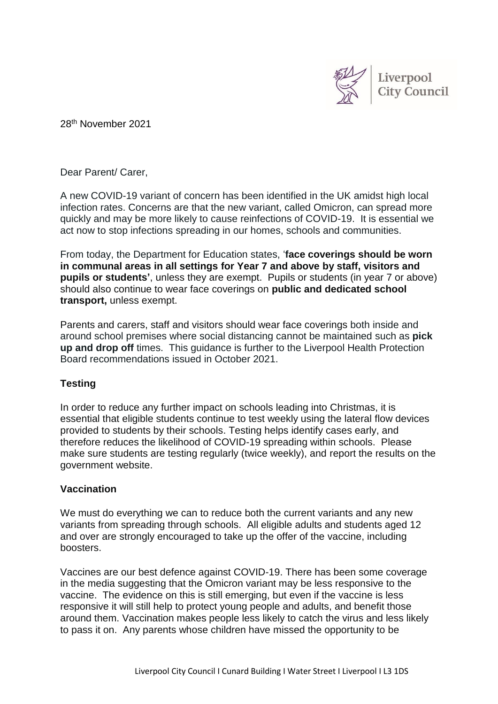

28 th November 2021

Dear Parent/ Carer,

A new COVID-19 variant of concern has been identified in the UK amidst high local infection rates. Concerns are that the new variant, called Omicron, can spread more quickly and may be more likely to cause reinfections of COVID-19. It is essential we act now to stop infections spreading in our homes, schools and communities.

From today, the Department for Education states, '**face coverings should be worn in communal areas in all settings for Year 7 and above by staff, visitors and pupils or students'**, unless they are exempt. Pupils or students (in year 7 or above) should also continue to wear face coverings on **public and dedicated school transport,** unless exempt.

Parents and carers, staff and visitors should wear face coverings both inside and around school premises where social distancing cannot be maintained such as **pick up and drop off** times. This guidance is further to the Liverpool Health Protection Board recommendations issued in October 2021.

# **Testing**

In order to reduce any further impact on schools leading into Christmas, it is essential that eligible students continue to test weekly using the lateral flow devices provided to students by their schools. Testing helps identify cases early, and therefore reduces the likelihood of COVID-19 spreading within schools. Please make sure students are testing regularly (twice weekly), and report the results on the government website.

# **Vaccination**

We must do everything we can to reduce both the current variants and any new variants from spreading through schools. All eligible adults and students aged 12 and over are strongly encouraged to take up the offer of the vaccine, including boosters.

Vaccines are our best defence against COVID-19. There has been some coverage in the media suggesting that the Omicron variant may be less responsive to the vaccine. The evidence on this is still emerging, but even if the vaccine is less responsive it will still help to protect young people and adults, and benefit those around them. Vaccination makes people less likely to catch the virus and less likely to pass it on. Any parents whose children have missed the opportunity to be